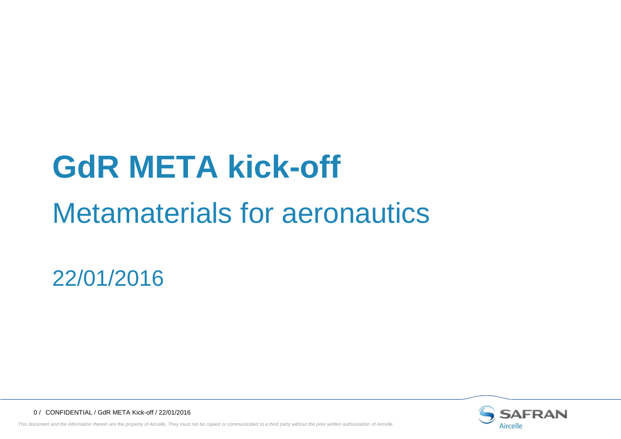# **GdR META kick-off**

# Metamaterials for aeronautics

22/01/2016



0 / CONFIDENTIAL / GdR META Kick-off / 22/01/2016

This document and the information therein are the property of Aircelle, They must not be copied or communicated to a third party without the prior written authorization of Aircelle.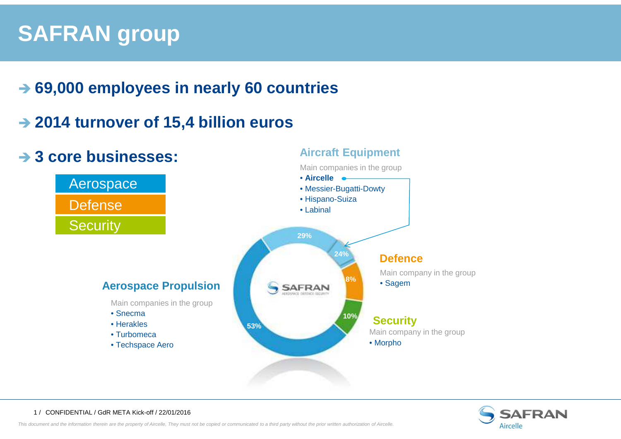### **SAFRAN group**

## **69,000 employees in nearly 60 countries**

# **2014 turnover of 15,4 billion euros**

#### **Aircraft Equipment 3 core businesses:** Main companies in the group• **Aircelle**Aerospace • Messier-Bugatti-Dowty• Hispano-SuizaDefense• Labinal **Security 29%24%Defence** Main company in the group**8%Aerospace Propulsion**• SagemSAFRAN Main companies in the group• Snecma**10%Security** • Herakles**53%**Main company in the group • Turbomeca• Morpho• Techspace Aero



#### <sup>1</sup> / CONFIDENTIAL / GdR META Kick-off / 22/01/2016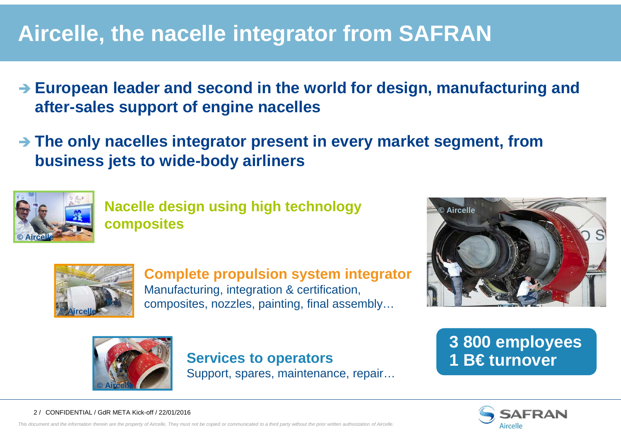### **Aircelle, the nacelle integrator from SAFRAN**

- **→ European leader and second in the world for design, manufacturing and <br>
after sales support of engine paselles after-sales support of engine nacelles**
- **The only nacelles integrator present in every market segment, from** business jots to wide body airliners **business jets to wide-body airliners**



**Nacelle design using high technology composites**



**Complete propulsion system integrator**Manufacturing, integration & certification, composites, nozzles, painting, final assembly…





**Services to operators 1 B€ turnover**Support, spares, maintenance, repair…

# **3 800 employees**



#### <sup>2</sup> / CONFIDENTIAL / GdR META Kick-off / 22/01/2016

This document and the information therein are the property of Aircelle, They must not be copied or communicated to a third party without the prior written authorization of Aircelle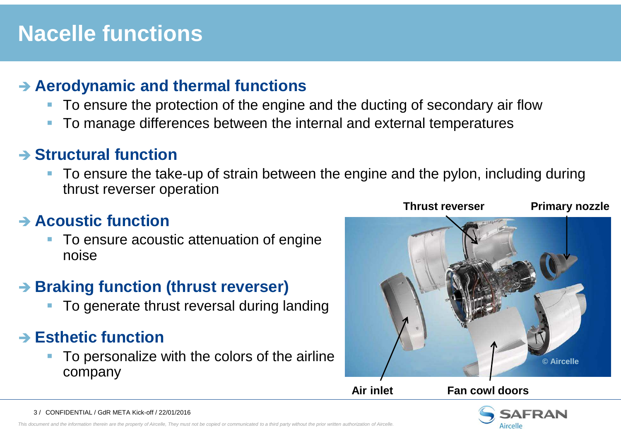#### **Nacelle functions**

## **Aerodynamic and thermal functions**<br>**•** To ensure the protection of the engine i

- To ensure the protection of the engine and the ducting of secondary air flow
- -To manage differences between the internal and external temperatures

## **Biructural function**<br>**Proposite the take**

• To ensure the take-up of strain between the engine and the pylon, including during thrust reverser operation

# **→ Acoustic function**<br>Fe apouse acoust

- To ensure acoustic attenuation of engine noise

# **Braking function (thrust reverser)**<br>■ Te generate thrust reversel during la

To generate thrust reversal during landing

# **Esthetic function**<br>■ Te persepalize **:**

- To personalize with the colors of the airline company



**Air inlet Fan cowl doors** 



3 / CONFIDENTIAL / GdR META Kick-off / 22/01/2016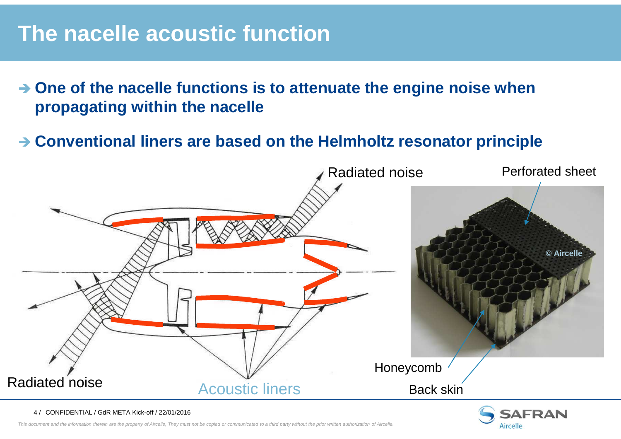#### **The nacelle acoustic function**

- → One of the nacelle functions is to attenuate the engine noise when **proposating within the pacelle propagating within the nacelle**
- **→ Conventional liners are based on the Helmholtz resonator principle**



**AFRAN** Aircelle

This document and the information therein are the property of Aircelle, They must not be copied or communicated to a third party without the prior written authorization of Aircelle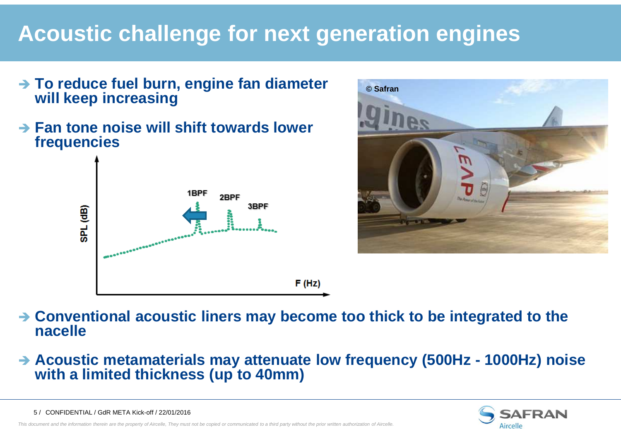### **Acoustic challenge for next generation engines**

- **To reduce fuel burn, engine fan diameter**<br>■ will keen increasing **will keep increasing**
- **→ Fan tone noise will shift towards lower**<br>frequencies **frequencies**





- **Conventional acoustic liners may become too thick to be integrated to the nacelle**
- **Acoustic metamaterials may attenuate low frequency (500Hz - 1000Hz) noise with a limited thickness (up to 40mm)**



<sup>5</sup> / CONFIDENTIAL / GdR META Kick-off / 22/01/2016

This document and the information therein are the property of Aircelle, They must not be copied or communicated to a third party without the prior written authorization of Aircelle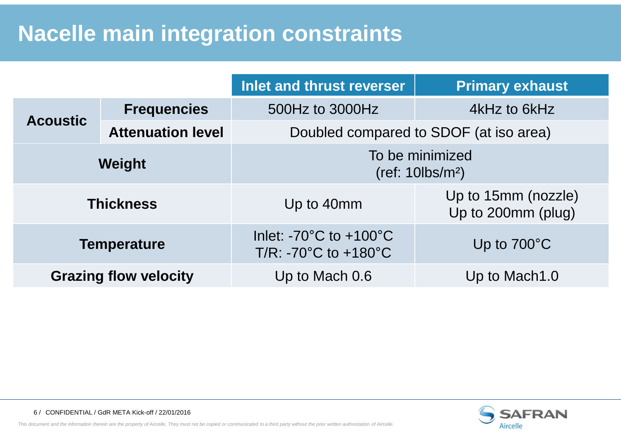#### **Nacelle main integration constraints**

|                              |                          | Inlet and thrust reverser                                                                     | <b>Primary exhaust</b>                    |
|------------------------------|--------------------------|-----------------------------------------------------------------------------------------------|-------------------------------------------|
| <b>Acoustic</b>              | <b>Frequencies</b>       | 500Hz to 3000Hz                                                                               | 4kHz to 6kHz                              |
|                              | <b>Attenuation level</b> | Doubled compared to SDOF (at iso area)                                                        |                                           |
| <b>Weight</b>                |                          | To be minimized<br>$(ref: 10$ lbs/m <sup>2</sup> )                                            |                                           |
| <b>Thickness</b>             |                          | Up to 40mm                                                                                    | Up to 15mm (nozzle)<br>Up to 200mm (plug) |
| <b>Temperature</b>           |                          | Inlet: - $70^{\circ}$ C to +100 $^{\circ}$ C<br>$T/R$ : -70 $^{\circ}$ C to +180 $^{\circ}$ C | Up to $700^{\circ}$ C                     |
| <b>Grazing flow velocity</b> |                          | Up to Mach 0.6                                                                                | Up to Mach1.0                             |



This document and the information therein are the property of Aircelle, They must not be copied or communicated to a third party without the prior written authorization of Aircelle.